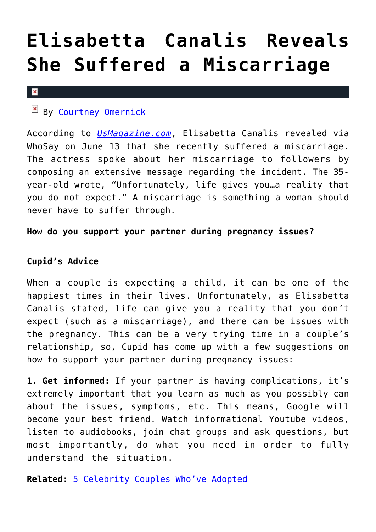# **[Elisabetta Canalis Reveals](https://cupidspulse.com/75877/elisabetta-canalis-miscarriage/) [She Suffered a Miscarriage](https://cupidspulse.com/75877/elisabetta-canalis-miscarriage/)**

#### $\vert \mathbf{x} \vert$

### $\mathbb{E}$  By [Courtney Omernick](http://cupidspulse.com/105759/courtney-omernick/)

According to *[UsMagazine.com](http://www.usmagazine.com/celebrity-news/news/elisabetta-canalis-suffered-miscarriage-star-shares-via-social-media-2014166)*, Elisabetta Canalis revealed via WhoSay on June 13 that she recently suffered a miscarriage. The actress spoke about her miscarriage to followers by composing an extensive message regarding the incident. The 35 year-old wrote, "Unfortunately, life gives you…a reality that you do not expect." A miscarriage is something a woman should never have to suffer through.

### **How do you support your partner during pregnancy issues?**

### **Cupid's Advice**

When a couple is expecting a child, it can be one of the happiest times in their lives. Unfortunately, as Elisabetta Canalis stated, life can give you a reality that you don't expect (such as a miscarriage), and there can be issues with the pregnancy. This can be a very trying time in a couple's relationship, so, Cupid has come up with a few suggestions on how to support your partner during pregnancy issues:

**1. Get informed:** If your partner is having complications, it's extremely important that you learn as much as you possibly can about the issues, symptoms, etc. This means, Google will become your best friend. Watch informational Youtube videos, listen to audiobooks, join chat groups and ask questions, but most importantly, do what you need in order to fully understand the situation.

**Related:** [5 Celebrity Couples Who've Adopted](http://cupidspulse.com/5-celebrity-couples-whove-adopted/)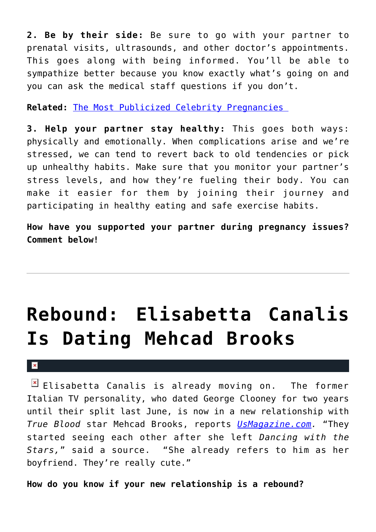**2. Be by their side:** Be sure to go with your partner to prenatal visits, ultrasounds, and other doctor's appointments. This goes along with being informed. You'll be able to sympathize better because you know exactly what's going on and you can ask the medical staff questions if you don't.

**Related:** [The Most Publicized Celebrity Pregnancies](http://cupidspulse.com/the-most-publicized-celebrity-pregnancies/) 

**3. Help your partner stay healthy:** This goes both ways: physically and emotionally. When complications arise and we're stressed, we can tend to revert back to old tendencies or pick up unhealthy habits. Make sure that you monitor your partner's stress levels, and how they're fueling their body. You can make it easier for them by joining their journey and participating in healthy eating and safe exercise habits.

**How have you supported your partner during pregnancy issues? Comment below!**

# **[Rebound: Elisabetta Canalis](https://cupidspulse.com/22180/rebound-elisabetta-canalis-italian-supermodel-dating-mehcad-brooks-true-blood-actor-george-clooney/) [Is Dating Mehcad Brooks](https://cupidspulse.com/22180/rebound-elisabetta-canalis-italian-supermodel-dating-mehcad-brooks-true-blood-actor-george-clooney/)**

### $\mathbf{R}$

 $\boxed{\times}$  Elisabetta Canalis is already moving on. The former Italian TV personality, who dated George Clooney for two years until their split last June, is now in a new relationship with *True Blood* star Mehcad Brooks, reports *[UsMagazine.com](http://www.usmagazine.com/celebrity-news/news/elisabetta-canalis-rebounds-with-true-bloods-mehcad-brooks-2011311).* "They started seeing each other after she left *Dancing with the Stars,*" said a source. "She already refers to him as her boyfriend. They're really cute."

**How do you know if your new relationship is a rebound?**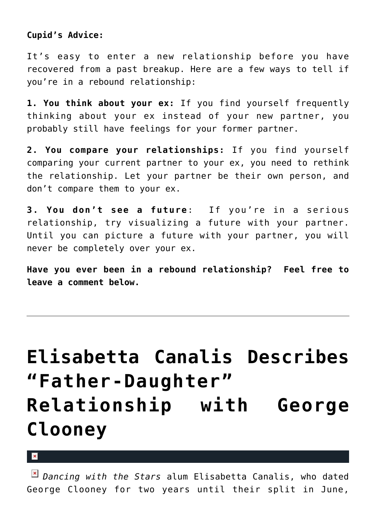### **Cupid's Advice:**

It's easy to enter a new relationship before you have recovered from a past breakup. Here are a few ways to tell if you're in a rebound relationship:

**1. You think about your ex:** If you find yourself frequently thinking about your ex instead of your new partner, you probably still have feelings for your former partner.

**2. You compare your relationships:** If you find yourself comparing your current partner to your ex, you need to rethink the relationship. Let your partner be their own person, and don't compare them to your ex.

**3. You don't see a future**: If you're in a serious relationship, try visualizing a future with your partner. Until you can picture a future with your partner, you will never be completely over your ex.

**Have you ever been in a rebound relationship? Feel free to leave a comment below.**

# **[Elisabetta Canalis Describes](https://cupidspulse.com/21955/elisabetta-canalis-dancing-with-the-stars-describes-father-daughter-relationship-george-clooney-actor-book/) ["Father-Daughter"](https://cupidspulse.com/21955/elisabetta-canalis-dancing-with-the-stars-describes-father-daughter-relationship-george-clooney-actor-book/) [Relationship with George](https://cupidspulse.com/21955/elisabetta-canalis-dancing-with-the-stars-describes-father-daughter-relationship-george-clooney-actor-book/) [Clooney](https://cupidspulse.com/21955/elisabetta-canalis-dancing-with-the-stars-describes-father-daughter-relationship-george-clooney-actor-book/)**

 $\pmb{\times}$ 

*Dancing with the Stars* alum Elisabetta Canalis, who dated George Clooney for two years until their split in June,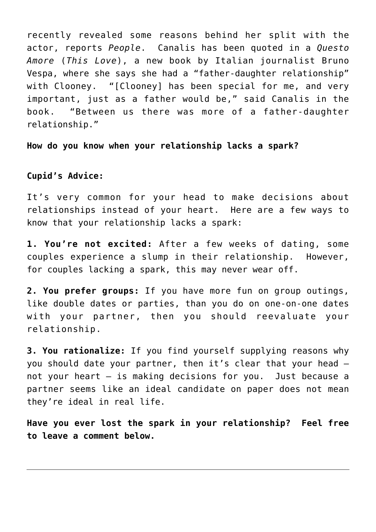recently revealed some reasons behind her split with the actor, reports *People*. Canalis has been quoted in a *Questo Amore* (*This Love*), a new book by Italian journalist Bruno Vespa, where she says she had a "father-daughter relationship" with Clooney. "[Clooney] has been special for me, and very important, just as a father would be," said Canalis in the book. "Between us there was more of a father-daughter relationship."

**How do you know when your relationship lacks a spark?**

### **Cupid's Advice:**

It's very common for your head to make decisions about relationships instead of your heart. Here are a few ways to know that your relationship lacks a spark:

**1. You're not excited:** After a few weeks of dating, some couples experience a slump in their relationship. However, for couples lacking a spark, this may never wear off.

**2. You prefer groups:** If you have more fun on group outings, like double dates or parties, than you do on one-on-one dates with your partner, then you should reevaluate your relationship.

**3. You rationalize:** If you find yourself supplying reasons why you should date your partner, then it's clear that your head not your heart — is making decisions for you. Just because a partner seems like an ideal candidate on paper does not mean they're ideal in real life.

**Have you ever lost the spark in your relationship? Feel free to leave a comment below.**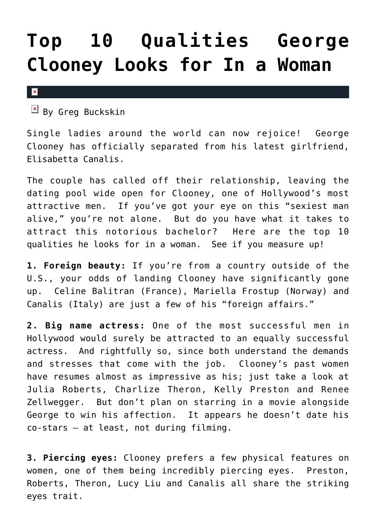## **[Top 10 Qualities George](https://cupidspulse.com/16497/top-10-qualities-george-clooney-looks-for-woman/) [Clooney Looks for In a Woman](https://cupidspulse.com/16497/top-10-qualities-george-clooney-looks-for-woman/)**

 $\pmb{\times}$ 

 $By$  Greg Buckskin

Single ladies around the world can now rejoice! George Clooney has officially separated from his latest girlfriend, Elisabetta Canalis.

The couple has called off their relationship, leaving the dating pool wide open for Clooney, one of Hollywood's most attractive men. If you've got your eye on this "sexiest man alive," you're not alone. But do you have what it takes to attract this notorious bachelor? Here are the top 10 qualities he looks for in a woman. See if you measure up!

**1. Foreign beauty:** If you're from a country outside of the U.S., your odds of landing Clooney have significantly gone up. Celine Balitran (France), Mariella Frostup (Norway) and Canalis (Italy) are just a few of his "foreign affairs."

**2. Big name actress:** One of the most successful men in Hollywood would surely be attracted to an equally successful actress. And rightfully so, since both understand the demands and stresses that come with the job. Clooney's past women have resumes almost as impressive as his; just take a look at Julia Roberts, Charlize Theron, Kelly Preston and Renee Zellwegger. But don't plan on starring in a movie alongside George to win his affection. It appears he doesn't date his co-stars – at least, not during filming.

**3. Piercing eyes:** Clooney prefers a few physical features on women, one of them being incredibly piercing eyes. Preston, Roberts, Theron, Lucy Liu and Canalis all share the striking eyes trait.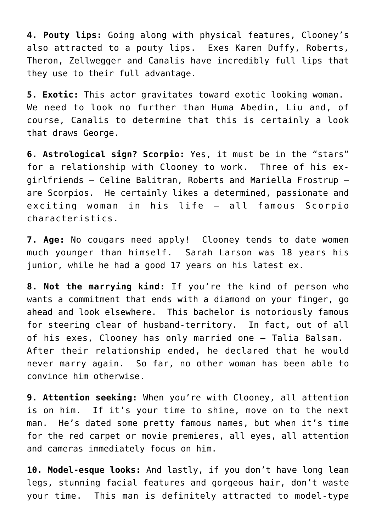**4. Pouty lips:** Going along with physical features, Clooney's also attracted to a pouty lips. Exes Karen Duffy, Roberts, Theron, Zellwegger and Canalis have incredibly full lips that they use to their full advantage.

**5. Exotic:** This actor gravitates toward exotic looking woman. We need to look no further than Huma Abedin, Liu and, of course, Canalis to determine that this is certainly a look that draws George.

**6. Astrological sign? Scorpio:** Yes, it must be in the "stars" for a relationship with Clooney to work. Three of his exgirlfriends – Celine Balitran, Roberts and Mariella Frostrup – are Scorpios. He certainly likes a determined, passionate and exciting woman in his life – all famous Scorpio characteristics.

**7. Age:** No cougars need apply! Clooney tends to date women much younger than himself. Sarah Larson was 18 years his junior, while he had a good 17 years on his latest ex.

**8. Not the marrying kind:** If you're the kind of person who wants a commitment that ends with a diamond on your finger, go ahead and look elsewhere. This bachelor is notoriously famous for steering clear of husband-territory. In fact, out of all of his exes, Clooney has only married one – Talia Balsam. After their relationship ended, he declared that he would never marry again. So far, no other woman has been able to convince him otherwise.

**9. Attention seeking:** When you're with Clooney, all attention is on him. If it's your time to shine, move on to the next man. He's dated some pretty famous names, but when it's time for the red carpet or movie premieres, all eyes, all attention and cameras immediately focus on him.

**10. Model-esque looks:** And lastly, if you don't have long lean legs, stunning facial features and gorgeous hair, don't waste your time. This man is definitely attracted to model-type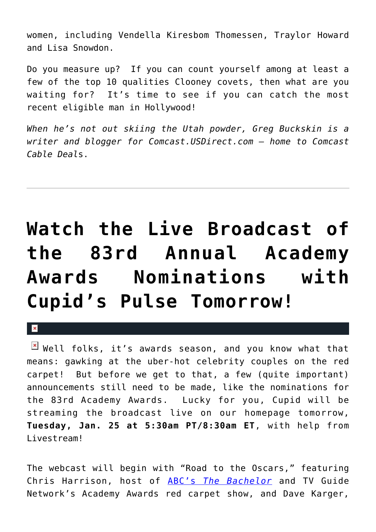women, including Vendella Kiresbom Thomessen, Traylor Howard and Lisa Snowdon.

Do you measure up? If you can count yourself among at least a few of the top 10 qualities Clooney covets, then what are you waiting for? It's time to see if you can catch the most recent eligible man in Hollywood!

*When he's not out skiing the Utah powder, Greg Buckskin is a writer and blogger for Comcast.USDirect.com – home to Comcast Cable Deal*s.

# **[Watch the Live Broadcast of](https://cupidspulse.com/9795/watch-the-live-broadcast-of-the-83rd-annual-academy-awards-nominations-with-cupids-pulse-tomorrow/) [the 83rd Annual Academy](https://cupidspulse.com/9795/watch-the-live-broadcast-of-the-83rd-annual-academy-awards-nominations-with-cupids-pulse-tomorrow/) [Awards Nominations with](https://cupidspulse.com/9795/watch-the-live-broadcast-of-the-83rd-annual-academy-awards-nominations-with-cupids-pulse-tomorrow/) [Cupid's Pulse Tomorrow!](https://cupidspulse.com/9795/watch-the-live-broadcast-of-the-83rd-annual-academy-awards-nominations-with-cupids-pulse-tomorrow/)**

 $\mathbf x$ 

 $\mathbb{F}$  Well folks, it's awards season, and you know what that means: gawking at the uber-hot celebrity couples on the red carpet! But before we get to that, a few (quite important) announcements still need to be made, like the nominations for the 83rd Academy Awards. Lucky for you, Cupid will be streaming the broadcast live on our homepage tomorrow, **Tuesday, Jan. 25 at 5:30am PT/8:30am ET**, with help from Livestream!

The webcast will begin with "Road to the Oscars," featuring Chris Harrison, host of [ABC's](http://cupidspulse.com/category/the-bachelor/) *[The Bachelor](http://cupidspulse.com/category/the-bachelor/)* and TV Guide Network's Academy Awards red carpet show, and Dave Karger,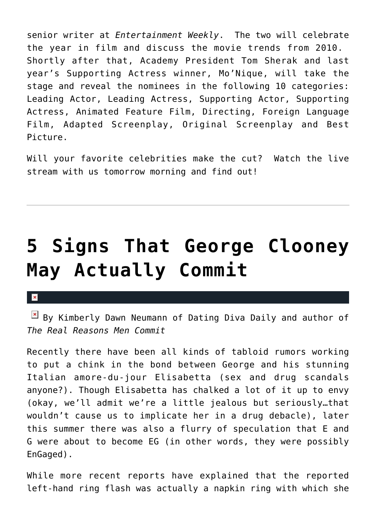senior writer at *Entertainment Weekly*. The two will celebrate the year in film and discuss the movie trends from 2010. Shortly after that, Academy President Tom Sherak and last year's Supporting Actress winner, Mo'Nique, will take the stage and reveal the nominees in the following 10 categories: Leading Actor, Leading Actress, Supporting Actor, Supporting Actress, Animated Feature Film, Directing, Foreign Language Film, Adapted Screenplay, Original Screenplay and Best Picture.

Will your favorite celebrities make the cut? Watch the live stream with us tomorrow morning and find out!

# **[5 Signs That George Clooney](https://cupidspulse.com/5323/5-signs-that-george-clooney-may-actually-commit/) [May Actually Commit](https://cupidspulse.com/5323/5-signs-that-george-clooney-may-actually-commit/)**

### $\pmb{\times}$

By Kimberly Dawn Neumann of Dating Diva Daily and author of *The Real Reasons Men Commit*

Recently there have been all kinds of tabloid rumors working to put a chink in the bond between George and his stunning Italian amore-du-jour Elisabetta (sex and drug scandals anyone?). Though Elisabetta has chalked a lot of it up to envy (okay, we'll admit we're a little jealous but seriously…that wouldn't cause us to implicate her in a drug debacle), later this summer there was also a flurry of speculation that E and G were about to become EG (in other words, they were possibly EnGaged).

While more recent reports have explained that the reported left-hand ring flash was actually a napkin ring with which she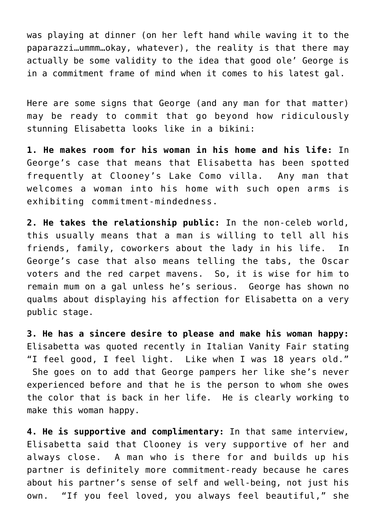was playing at dinner (on her left hand while waving it to the paparazzi…ummm…okay, whatever), the reality is that there may actually be some validity to the idea that good ole' George is in a commitment frame of mind when it comes to his latest gal.

Here are some signs that George (and any man for that matter) may be ready to commit that go beyond how ridiculously stunning Elisabetta looks like in a bikini:

**1. He makes room for his woman in his home and his life:** In George's case that means that Elisabetta has been spotted frequently at Clooney's Lake Como villa. Any man that welcomes a woman into his home with such open arms is exhibiting commitment-mindedness.

**2. He takes the relationship public:** In the non-celeb world, this usually means that a man is willing to tell all his friends, family, coworkers about the lady in his life. In George's case that also means telling the tabs, the Oscar voters and the red carpet mavens. So, it is wise for him to remain mum on a gal unless he's serious. George has shown no qualms about displaying his affection for Elisabetta on a very public stage.

**3. He has a sincere desire to please and make his woman happy:** Elisabetta was quoted recently in Italian Vanity Fair stating "I feel good, I feel light. Like when I was 18 years old." She goes on to add that George pampers her like she's never experienced before and that he is the person to whom she owes the color that is back in her life. He is clearly working to make this woman happy.

**4. He is supportive and complimentary:** In that same interview, Elisabetta said that Clooney is very supportive of her and always close. A man who is there for and builds up his partner is definitely more commitment-ready because he cares about his partner's sense of self and well-being, not just his own. "If you feel loved, you always feel beautiful," she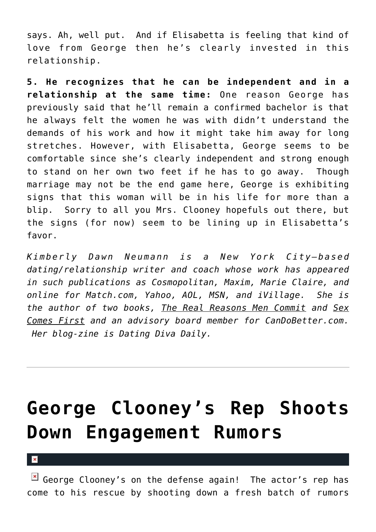says. Ah, well put. And if Elisabetta is feeling that kind of love from George then he's clearly invested in this relationship.

**5. He recognizes that he can be independent and in a relationship at the same time:** One reason George has previously said that he'll remain a confirmed bachelor is that he always felt the women he was with didn't understand the demands of his work and how it might take him away for long stretches. However, with Elisabetta, George seems to be comfortable since she's clearly independent and strong enough to stand on her own two feet if he has to go away. Though marriage may not be the end game here, George is exhibiting signs that this woman will be in his life for more than a blip. Sorry to all you Mrs. Clooney hopefuls out there, but the signs (for now) seem to be lining up in Elisabetta's favor.

*Kimberly Dawn Neumann is a New York City—based dating/relationship writer and coach whose work has appeared in such publications as Cosmopolitan, Maxim, Marie Claire, and online for Match.com, Yahoo, AOL, MSN, and iVillage. She is the author of two books, The Real Reasons Men Commit and Sex Comes First and an advisory board member for CanDoBetter.com. Her blog-zine is Dating Diva Daily.*

## **[George Clooney's Rep Shoots](https://cupidspulse.com/4664/george-clooneys-rep-shoots-down-engagement-rumors/) [Down Engagement Rumors](https://cupidspulse.com/4664/george-clooneys-rep-shoots-down-engagement-rumors/)**

 $\boxed{\times}$  George Clooney's on the defense again! The actor's rep has come to his rescue by shooting down a fresh batch of rumors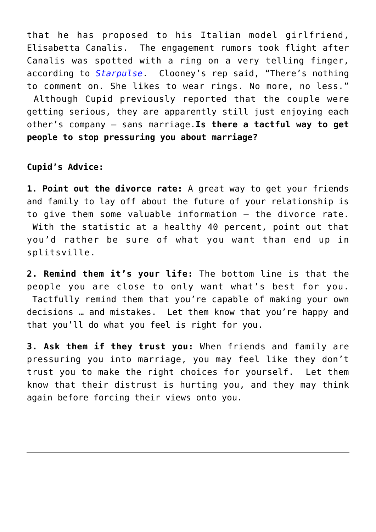that he has proposed to his Italian model girlfriend, Elisabetta Canalis. The engagement rumors took flight after Canalis was spotted with a ring on a very telling finger, according to *[Starpulse](http://www.starpulse.com/news/index.php/2010/09/16/rep_denies_george_clooney_engagement_r)*. Clooney's rep said, "There's nothing to comment on. She likes to wear rings. No more, no less." Although Cupid previously reported that the couple were getting serious, they are apparently still just enjoying each other's company – sans marriage.**Is there a tactful way to get people to stop pressuring you about marriage?**

### **Cupid's Advice:**

**1. Point out the divorce rate:** A great way to get your friends and family to lay off about the future of your relationship is to give them some valuable information – the divorce rate. With the statistic at a healthy 40 percent, point out that you'd rather be sure of what you want than end up in splitsville.

**2. Remind them it's your life:** The bottom line is that the people you are close to only want what's best for you. Tactfully remind them that you're capable of making your own decisions … and mistakes. Let them know that you're happy and that you'll do what you feel is right for you.

**3. Ask them if they trust you:** When friends and family are pressuring you into marriage, you may feel like they don't trust you to make the right choices for yourself. Let them know that their distrust is hurting you, and they may think again before forcing their views onto you.